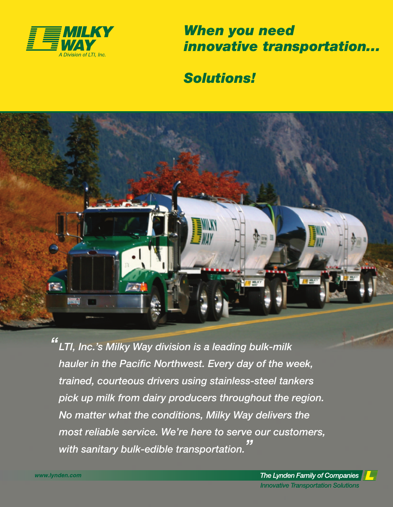

**When you need** innovative transportation...

## **Solutions!**



"LTI, Inc.'s Milky Way division is a leading bulk-milk hauler in the Pacific Northwest. Every day of the week, trained, courteous drivers using stainless-steel tankers pick up milk from dairy producers throughout the region. No matter what the conditions, Milky Way delivers the most reliable service. We're here to serve our customers, with sanitary bulk-edible transportation.